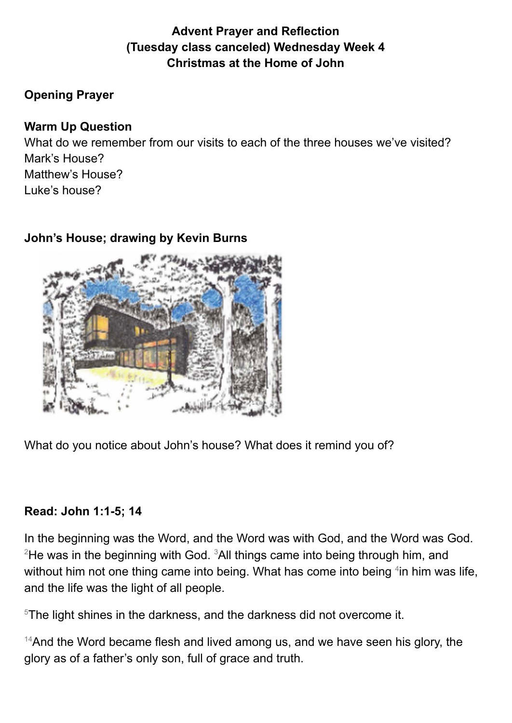# **Advent Prayer and Reflection (Tuesday class canceled) Wednesday Week 4 Christmas at the Home of John**

### **Opening Prayer**

#### **Warm Up Question**

What do we remember from our visits to each of the three houses we've visited? Mark's House? Matthew's House? Luke's house?

## **John's House; drawing by Kevin Burns**



What do you notice about John's house? What does it remind you of?

## **Read: John 1:1-5; 14**

In the beginning was the Word, and the Word was with God, and the Word was God.  $2$ He was in the beginning with God.  $3$ All things came into being through him, and without him not one thing came into being. What has come into being <sup>4</sup>in him was life, and the life was the light of all people.

<sup>5</sup>The light shines in the darkness, and the darkness did not overcome it.

 $14$ And the Word became flesh and lived among us, and we have seen his glory, the glory as of a father's only son, full of grace and truth.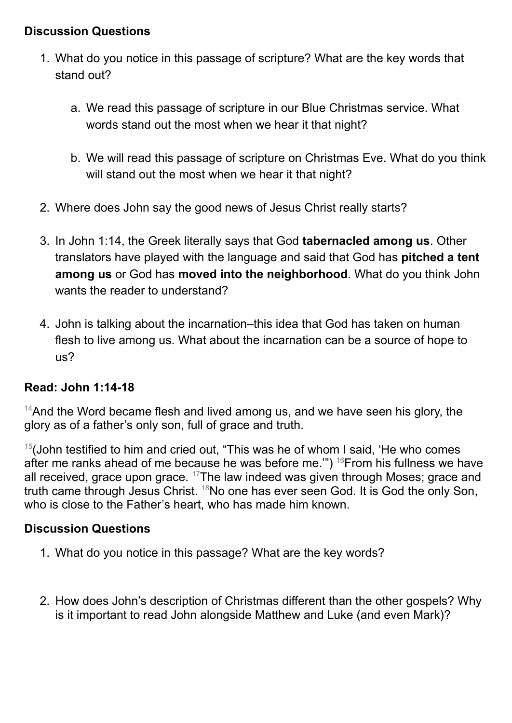#### **Discussion Questions**

- 1. What do you notice in this passage of scripture? What are the key words that stand out?
	- a. We read this passage of scripture in our Blue Christmas service. What words stand out the most when we hear it that night?
	- b. We will read this passage of scripture on Christmas Eve. What do you think will stand out the most when we hear it that night?
- 2. Where does John say the good news of Jesus Christ really starts?
- 3. In John 1:14, the Greek literally says that God **tabernacled among us**. Other translators have played with the language and said that God has **pitched a tent among us** or God has **moved into the neighborhood**. What do you think John wants the reader to understand?
- 4. John is talking about the incarnation–this idea that God has taken on human flesh to live among us. What about the incarnation can be a source of hope to us?

## **Read: John 1:14-18**

<sup>14</sup>And the Word became flesh and lived among us, and we have seen his glory, the glory as of a father's only son, full of grace and truth.

<sup>15</sup>(John testified to him and cried out, "This was he of whom I said, 'He who comes after me ranks ahead of me because he was before me."") <sup>16</sup>From his fullness we have all received, grace upon grace. <sup>17</sup>The law indeed was given through Moses; grace and truth came through Jesus Christ. <sup>18</sup>No one has ever seen God. It is God the only Son, who is close to the Father's heart, who has made him known.

#### **Discussion Questions**

- 1. What do you notice in this passage? What are the key words?
- 2. How does John's description of Christmas different than the other gospels? Why is it important to read John alongside Matthew and Luke (and even Mark)?